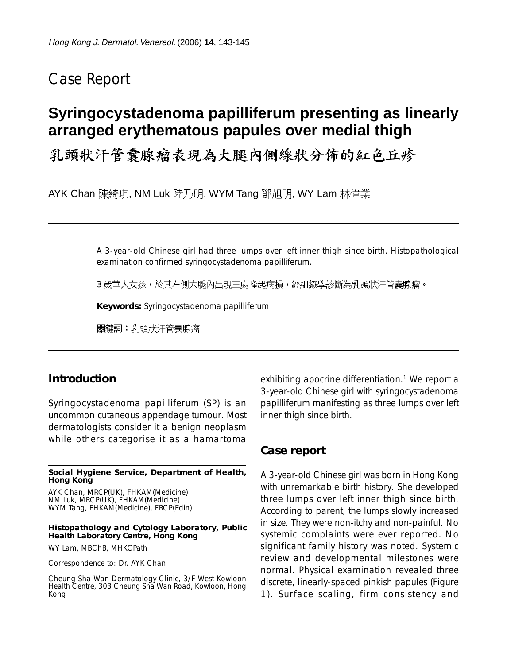# Case Report

# **Syringocystadenoma papilliferum presenting as linearly arranged erythematous papules over medial thigh**

乳頭狀汗管囊腺瘤表現為大腿內側線狀分佈的紅色丘疹

AYK Chan 陳綺琪, NM Luk 陸乃明, WYM Tang 鄧旭明, WY Lam 林偉業

A 3-year-old Chinese girl had three lumps over left inner thigh since birth. Histopathological examination confirmed syringocystadenoma papilliferum.

3 歲華人女孩,於其左側大腿內出現三處隆起病損,經組織學診斷為乳頭狀汗管囊腺瘤。

**Keywords:** Syringocystadenoma papilliferum

關鍵詞:乳頭狀汗管囊腺瘤

### **Introduction**

Syringocystadenoma papilliferum (SP) is an uncommon cutaneous appendage tumour. Most dermatologists consider it a benign neoplasm while others categorise it as a hamartoma

**Social Hygiene Service, Department of Health, Hong Kong**

AYK Chan, MRCP(UK), FHKAM(Medicine) NM Luk, MRCP(UK), FHKAM(Medicine) WYM Tang, FHKAM(Medicine), FRCP(Edin)

#### **Histopathology and Cytology Laboratory, Public Health Laboratory Centre, Hong Kong**

WY Lam, MBChB, MHKCPath

Correspondence to: Dr. AYK Chan

Cheung Sha Wan Dermatology Clinic, 3/F West Kowloon Health Centre, 303 Cheung Sha Wan Road, Kowloon, Hong Kong

exhibiting apocrine differentiation.<sup>1</sup> We report a 3-year-old Chinese girl with syringocystadenoma papilliferum manifesting as three lumps over left inner thigh since birth.

### **Case report**

A 3-year-old Chinese girl was born in Hong Kong with unremarkable birth history. She developed three lumps over left inner thigh since birth. According to parent, the lumps slowly increased in size. They were non-itchy and non-painful. No systemic complaints were ever reported. No significant family history was noted. Systemic review and developmental milestones were normal. Physical examination revealed three discrete, linearly-spaced pinkish papules (Figure 1). Surface scaling, firm consistency and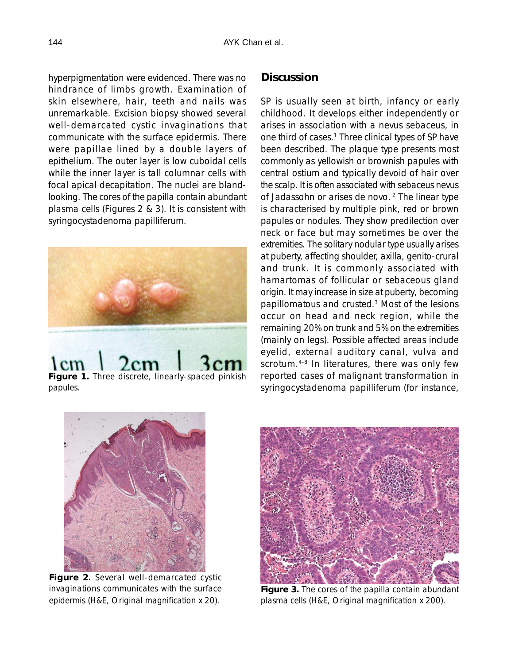hyperpigmentation were evidenced. There was no hindrance of limbs growth. Examination of skin elsewhere, hair, teeth and nails was unremarkable. Excision biopsy showed several well-demarcated cystic invaginations that communicate with the surface epidermis. There were papillae lined by a double layers of epithelium. The outer layer is low cuboidal cells while the inner layer is tall columnar cells with focal apical decapitation. The nuclei are blandlooking. The cores of the papilla contain abundant plasma cells (Figures 2 & 3). It is consistent with syringocystadenoma papilliferum.



papules.

# **Discussion**

SP is usually seen at birth, infancy or early childhood. It develops either independently or arises in association with a nevus sebaceus, in one third of cases.<sup>1</sup> Three clinical types of SP have been described. The plaque type presents most commonly as yellowish or brownish papules with central ostium and typically devoid of hair over the scalp. It is often associated with sebaceus nevus of Jadassohn or arises de novo. 2 The linear type is characterised by multiple pink, red or brown papules or nodules. They show predilection over neck or face but may sometimes be over the extremities. The solitary nodular type usually arises at puberty, affecting shoulder, axilla, genito-crural and trunk. It is commonly associated with hamartomas of follicular or sebaceous gland origin. It may increase in size at puberty, becoming papillomatous and crusted.3 Most of the lesions occur on head and neck region, while the remaining 20% on trunk and 5% on the extremities (mainly on legs). Possible affected areas include eyelid, external auditory canal, vulva and scrotum.<sup>4-8</sup> In literatures, there was only few reported cases of malignant transformation in syringocystadenoma papilliferum (for instance,



**Figure 2**. Several well-demarcated cystic . invaginations communicates with the surface epidermis (H&E, Original magnification x 20).



**Figure 3.** The cores of the papilla contain abundant plasma cells (H&E, Original magnification x 200).